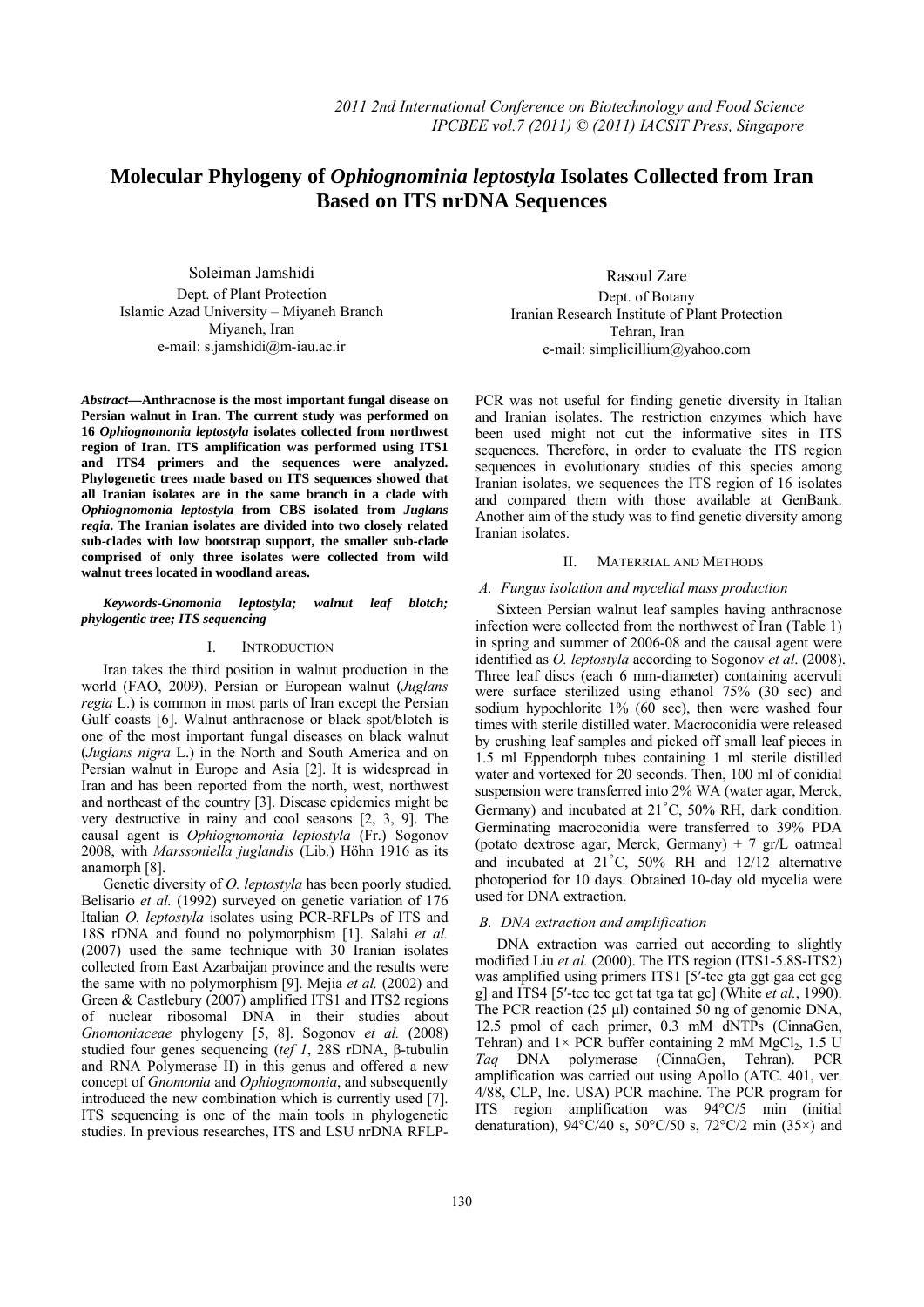# **Molecular Phylogeny of** *Ophiognominia leptostyla* **Isolates Collected from Iran**   **Based on ITS nrDNA Sequences**

Soleiman Jamshidi Dept. of Plant Protection Islamic Azad University – Miyaneh Branch Miyaneh, Iran e-mail: s.jamshidi@m-iau.ac.ir

*Abstract***—Anthracnose is the most important fungal disease on Persian walnut in Iran. The current study was performed on 16** *Ophiognomonia leptostyla* **isolates collected from northwest region of Iran. ITS amplification was performed using ITS1 and ITS4 primers and the sequences were analyzed. Phylogenetic trees made based on ITS sequences showed that all Iranian isolates are in the same branch in a clade with**  *Ophiognomonia leptostyla* **from CBS isolated from** *Juglans regia***. The Iranian isolates are divided into two closely related sub-clades with low bootstrap support, the smaller sub-clade comprised of only three isolates were collected from wild walnut trees located in woodland areas.** 

# *Keywords-Gnomonia leptostyla; walnut leaf blotch; phylogentic tree; ITS sequencing*

## I. INTRODUCTION

Iran takes the third position in walnut production in the world (FAO, 2009). Persian or European walnut (*Juglans regia* L.) is common in most parts of Iran except the Persian Gulf coasts [6]. Walnut anthracnose or black spot/blotch is one of the most important fungal diseases on black walnut (*Juglans nigra* L.) in the North and South America and on Persian walnut in Europe and Asia [2]. It is widespread in Iran and has been reported from the north, west, northwest and northeast of the country [3]. Disease epidemics might be very destructive in rainy and cool seasons [2, 3, 9]. The causal agent is *Ophiognomonia leptostyla* (Fr.) Sogonov 2008, with *Marssoniella juglandis* (Lib.) Höhn 1916 as its anamorph [8].

Genetic diversity of *O. leptostyla* has been poorly studied. Belisario *et al.* (1992) surveyed on genetic variation of 176 Italian *O. leptostyla* isolates using PCR-RFLPs of ITS and 18S rDNA and found no polymorphism [1]. Salahi *et al.* (2007) used the same technique with 30 Iranian isolates collected from East Azarbaijan province and the results were the same with no polymorphism [9]. Mejia *et al.* (2002) and Green & Castlebury (2007) amplified ITS1 and ITS2 regions of nuclear ribosomal DNA in their studies about *Gnomoniaceae* phylogeny [5, 8]. Sogonov *et al.* (2008) studied four genes sequencing (*tef 1*, 28S rDNA, β-tubulin and RNA Polymerase II) in this genus and offered a new concept of *Gnomonia* and *Ophiognomonia*, and subsequently introduced the new combination which is currently used [7]. ITS sequencing is one of the main tools in phylogenetic studies. In previous researches, ITS and LSU nrDNA RFLP-

Rasoul Zare Dept. of Botany Iranian Research Institute of Plant Protection Tehran, Iran e-mail: simplicillium@yahoo.com

PCR was not useful for finding genetic diversity in Italian and Iranian isolates. The restriction enzymes which have been used might not cut the informative sites in ITS sequences. Therefore, in order to evaluate the ITS region sequences in evolutionary studies of this species among Iranian isolates, we sequences the ITS region of 16 isolates and compared them with those available at GenBank. Another aim of the study was to find genetic diversity among Iranian isolates.

# II. MATERRIAL AND METHODS

# *A. Fungus isolation and mycelial mass production*

Sixteen Persian walnut leaf samples having anthracnose infection were collected from the northwest of Iran (Table 1) in spring and summer of 2006-08 and the causal agent were identified as *O. leptostyla* according to Sogonov *et al*. (2008). Three leaf discs (each 6 mm-diameter) containing acervuli were surface sterilized using ethanol 75% (30 sec) and sodium hypochlorite 1% (60 sec), then were washed four times with sterile distilled water. Macroconidia were released by crushing leaf samples and picked off small leaf pieces in 1.5 ml Eppendorph tubes containing 1 ml sterile distilled water and vortexed for 20 seconds. Then, 100 ml of conidial suspension were transferred into 2% WA (water agar, Merck, Germany) and incubated at 21˚C, 50% RH, dark condition. Germinating macroconidia were transferred to 39% PDA (potato dextrose agar, Merck, Germany) + 7 gr/L oatmeal and incubated at 21˚C, 50% RH and 12/12 alternative photoperiod for 10 days. Obtained 10-day old mycelia were used for DNA extraction.

# *B. DNA extraction and amplification*

DNA extraction was carried out according to slightly modified Liu *et al.* (2000). The ITS region (ITS1-5.8S-ITS2) was amplified using primers ITS1 [5'-tcc gta ggt gaa cct gcg g] and ITS4 [5′-tcc tcc gct tat tga tat gc] (White *et al.*, 1990). The PCR reaction (25 μl) contained 50 ng of genomic DNA, 12.5 pmol of each primer, 0.3 mM dNTPs (CinnaGen, Tehran) and  $1 \times PCR$  buffer containing 2 mM MgCl<sub>2</sub>, 1.5 U *Taq* DNA polymerase (CinnaGen, Tehran). PCR amplification was carried out using Apollo (ATC. 401, ver. 4/88, CLP, Inc. USA) PCR machine. The PCR program for ITS region amplification was 94°C/5 min (initial denaturation),  $94\degree C/40$  s,  $50\degree C/50$  s,  $72\degree C/2$  min (35×) and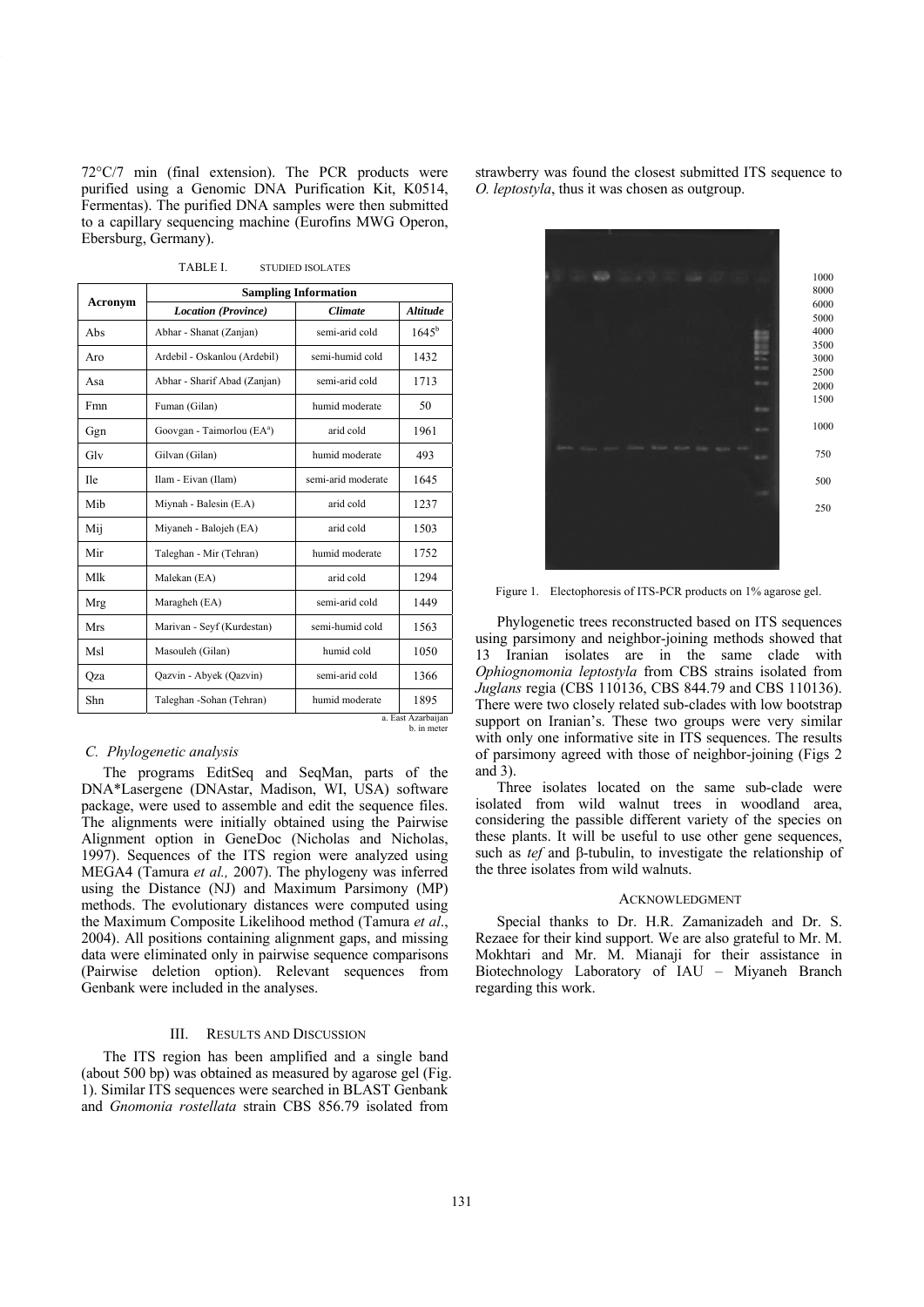72°C/7 min (final extension). The PCR products were purified using a Genomic DNA Purification Kit, K0514, Fermentas). The purified DNA samples were then submitted to a capillary sequencing machine (Eurofins MWG Operon, Ebersburg, Germany).

| Acronym            | <b>Sampling Information</b>            |                    |                 |
|--------------------|----------------------------------------|--------------------|-----------------|
|                    | <b>Location</b> (Province)             | <b>Climate</b>     | <b>Altitude</b> |
| Abs                | Abhar - Shanat (Zanjan)                | semi-arid cold     | $1645^{\rm b}$  |
| Aro                | Ardebil - Oskanlou (Ardebil)           | semi-humid cold    | 1432            |
| Asa                | Abhar - Sharif Abad (Zanjan)           | semi-arid cold     | 1713            |
| Fmn                | Fuman (Gilan)                          | humid moderate     | 50              |
| Ggn                | Goovgan - Taimorlou (EA <sup>a</sup> ) | arid cold          | 1961            |
| Glv                | Gilvan (Gilan)                         | humid moderate     | 493             |
| <b>Ile</b>         | Ilam - Eivan (Ilam)                    | semi-arid moderate | 1645            |
| Mih                | Miynah - Balesin (E.A)                 | arid cold          | 1237            |
| Mij                | Miyaneh - Balojeh (EA)                 | arid cold          | 1503            |
| Mir                | Taleghan - Mir (Tehran)                | humid moderate     | 1752            |
| Mlk                | Malekan (EA)                           | arid cold          | 1294            |
| Mrg                | Maragheh (EA)                          | semi-arid cold     | 1449            |
| Mrs                | Marivan - Seyf (Kurdestan)             | semi-humid cold    | 1563            |
| Msl                | Masouleh (Gilan)                       | humid cold         | 1050            |
| Qza                | Qazvin - Abyek (Qazvin)                | semi-arid cold     | 1366            |
| Shn                | Taleghan -Sohan (Tehran)               | humid moderate     | 1895            |
| a. East Azarbaiian |                                        |                    |                 |

TABLE I. STUDIED ISOLATES

b. in meter

#### *C. Phylogenetic analysis*

The programs EditSeq and SeqMan, parts of the DNA\*Lasergene (DNAstar, Madison, WI, USA) software package, were used to assemble and edit the sequence files. The alignments were initially obtained using the Pairwise Alignment option in GeneDoc (Nicholas and Nicholas, 1997). Sequences of the ITS region were analyzed using MEGA4 (Tamura *et al.,* 2007). The phylogeny was inferred using the Distance (NJ) and Maximum Parsimony (MP) methods. The evolutionary distances were computed using the Maximum Composite Likelihood method (Tamura *et al*., 2004). All positions containing alignment gaps, and missing data were eliminated only in pairwise sequence comparisons (Pairwise deletion option). Relevant sequences from Genbank were included in the analyses.

# III. RESULTS AND DISCUSSION

The ITS region has been amplified and a single band (about 500 bp) was obtained as measured by agarose gel (Fig. 1). Similar ITS sequences were searched in BLAST Genbank and *Gnomonia rostellata* strain CBS 856.79 isolated from

strawberry was found the closest submitted ITS sequence to *O. leptostyla*, thus it was chosen as outgroup.



Figure 1. Electophoresis of ITS-PCR products on 1% agarose gel.

Phylogenetic trees reconstructed based on ITS sequences using parsimony and neighbor-joining methods showed that 13 Iranian isolates are in the same clade with *Ophiognomonia leptostyla* from CBS strains isolated from *Juglans* regia (CBS 110136, CBS 844.79 and CBS 110136). There were two closely related sub-clades with low bootstrap support on Iranian's. These two groups were very similar with only one informative site in ITS sequences. The results of parsimony agreed with those of neighbor-joining (Figs 2 and 3).

Three isolates located on the same sub-clade were isolated from wild walnut trees in woodland area, considering the passible different variety of the species on these plants. It will be useful to use other gene sequences, such as *tef* and β-tubulin, to investigate the relationship of the three isolates from wild walnuts.

# **ACKNOWLEDGMENT**

Special thanks to Dr. H.R. Zamanizadeh and Dr. S. Rezaee for their kind support. We are also grateful to Mr. M. Mokhtari and Mr. M. Mianaji for their assistance in Biotechnology Laboratory of IAU – Miyaneh Branch regarding this work.